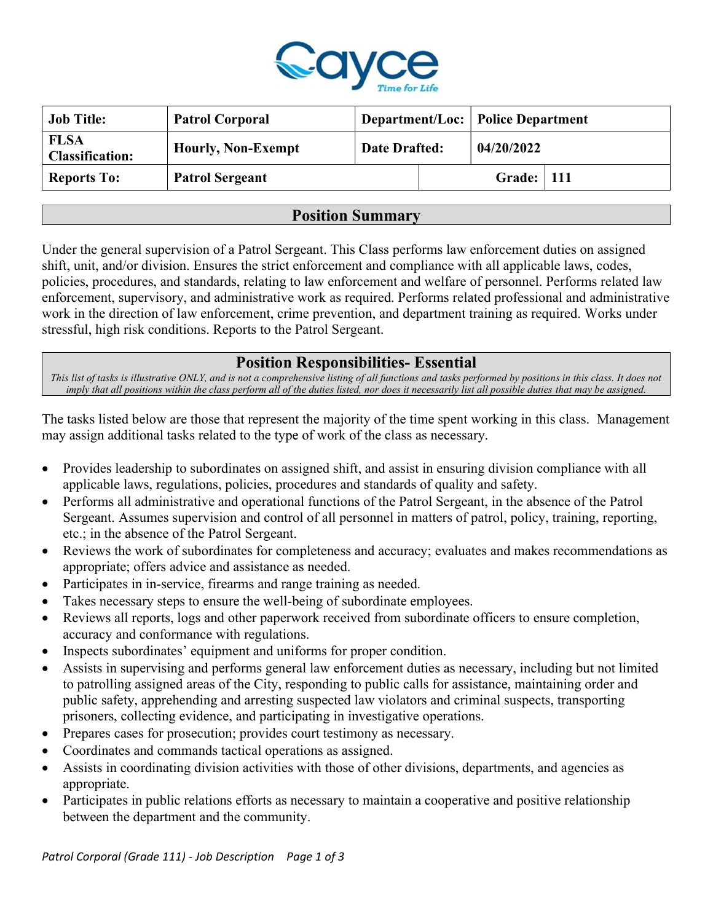

| <b>Job Title:</b>                     | <b>Patrol Corporal</b>    |               |                     | <b>Department/Loc: Police Department</b> |  |
|---------------------------------------|---------------------------|---------------|---------------------|------------------------------------------|--|
| <b>FLSA</b><br><b>Classification:</b> | <b>Hourly, Non-Exempt</b> | Date Drafted: |                     | 04/20/2022                               |  |
| <b>Reports To:</b>                    | <b>Patrol Sergeant</b>    |               | <b>Grade:</b>   111 |                                          |  |

### Position Summary

Under the general supervision of a Patrol Sergeant. This Class performs law enforcement duties on assigned shift, unit, and/or division. Ensures the strict enforcement and compliance with all applicable laws, codes, policies, procedures, and standards, relating to law enforcement and welfare of personnel. Performs related law enforcement, supervisory, and administrative work as required. Performs related professional and administrative work in the direction of law enforcement, crime prevention, and department training as required. Works under stressful, high risk conditions. Reports to the Patrol Sergeant.

### Position Responsibilities- Essential

This list of tasks is illustrative ONLY, and is not a comprehensive listing of all functions and tasks performed by positions in this class. It does not imply that all positions within the class perform all of the duties listed, nor does it necessarily list all possible duties that may be assigned.

The tasks listed below are those that represent the majority of the time spent working in this class. Management may assign additional tasks related to the type of work of the class as necessary.

- Provides leadership to subordinates on assigned shift, and assist in ensuring division compliance with all applicable laws, regulations, policies, procedures and standards of quality and safety.
- Performs all administrative and operational functions of the Patrol Sergeant, in the absence of the Patrol Sergeant. Assumes supervision and control of all personnel in matters of patrol, policy, training, reporting, etc.; in the absence of the Patrol Sergeant.
- Reviews the work of subordinates for completeness and accuracy; evaluates and makes recommendations as appropriate; offers advice and assistance as needed.
- Participates in in-service, firearms and range training as needed.
- Takes necessary steps to ensure the well-being of subordinate employees.
- Reviews all reports, logs and other paperwork received from subordinate officers to ensure completion, accuracy and conformance with regulations.
- Inspects subordinates' equipment and uniforms for proper condition.
- Assists in supervising and performs general law enforcement duties as necessary, including but not limited to patrolling assigned areas of the City, responding to public calls for assistance, maintaining order and public safety, apprehending and arresting suspected law violators and criminal suspects, transporting prisoners, collecting evidence, and participating in investigative operations.
- Prepares cases for prosecution; provides court testimony as necessary.
- Coordinates and commands tactical operations as assigned.
- Assists in coordinating division activities with those of other divisions, departments, and agencies as appropriate.
- Participates in public relations efforts as necessary to maintain a cooperative and positive relationship between the department and the community.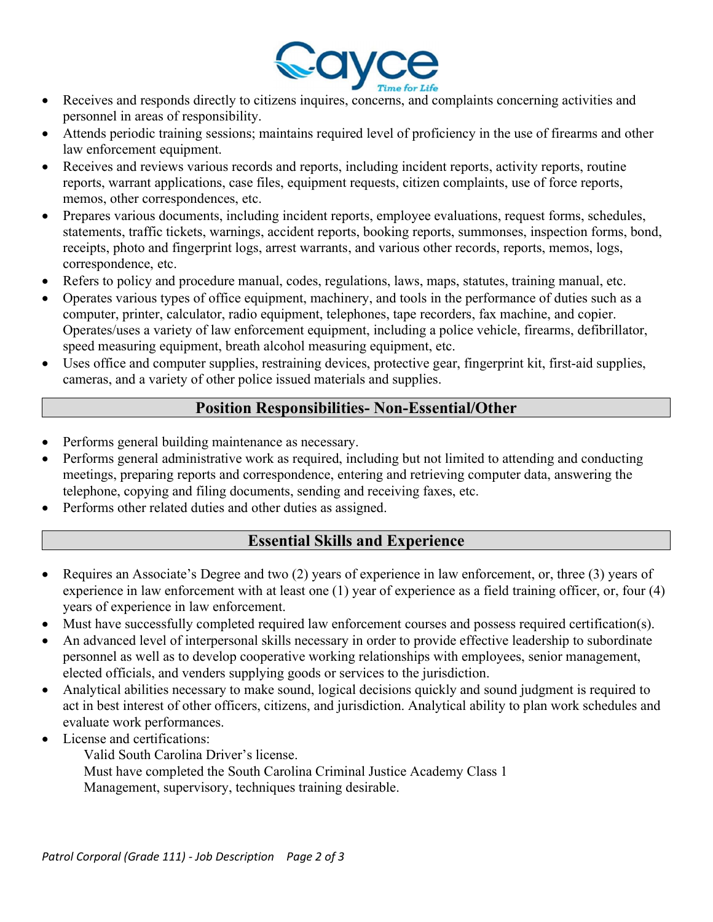

- Receives and responds directly to citizens inquires, concerns, and complaints concerning activities and personnel in areas of responsibility.
- Attends periodic training sessions; maintains required level of proficiency in the use of firearms and other law enforcement equipment.
- Receives and reviews various records and reports, including incident reports, activity reports, routine reports, warrant applications, case files, equipment requests, citizen complaints, use of force reports, memos, other correspondences, etc.
- Prepares various documents, including incident reports, employee evaluations, request forms, schedules, statements, traffic tickets, warnings, accident reports, booking reports, summonses, inspection forms, bond, receipts, photo and fingerprint logs, arrest warrants, and various other records, reports, memos, logs, correspondence, etc.
- Refers to policy and procedure manual, codes, regulations, laws, maps, statutes, training manual, etc.
- Operates various types of office equipment, machinery, and tools in the performance of duties such as a computer, printer, calculator, radio equipment, telephones, tape recorders, fax machine, and copier. Operates/uses a variety of law enforcement equipment, including a police vehicle, firearms, defibrillator, speed measuring equipment, breath alcohol measuring equipment, etc.
- Uses office and computer supplies, restraining devices, protective gear, fingerprint kit, first-aid supplies, cameras, and a variety of other police issued materials and supplies.

# Position Responsibilities- Non-Essential/Other

- Performs general building maintenance as necessary.
- Performs general administrative work as required, including but not limited to attending and conducting meetings, preparing reports and correspondence, entering and retrieving computer data, answering the telephone, copying and filing documents, sending and receiving faxes, etc.
- Performs other related duties and other duties as assigned.

## Essential Skills and Experience

- Requires an Associate's Degree and two (2) years of experience in law enforcement, or, three (3) years of experience in law enforcement with at least one (1) year of experience as a field training officer, or, four (4) years of experience in law enforcement.
- Must have successfully completed required law enforcement courses and possess required certification(s).
- An advanced level of interpersonal skills necessary in order to provide effective leadership to subordinate personnel as well as to develop cooperative working relationships with employees, senior management, elected officials, and venders supplying goods or services to the jurisdiction.
- Analytical abilities necessary to make sound, logical decisions quickly and sound judgment is required to act in best interest of other officers, citizens, and jurisdiction. Analytical ability to plan work schedules and evaluate work performances.
- License and certifications:

Valid South Carolina Driver's license.

Must have completed the South Carolina Criminal Justice Academy Class 1 Management, supervisory, techniques training desirable.